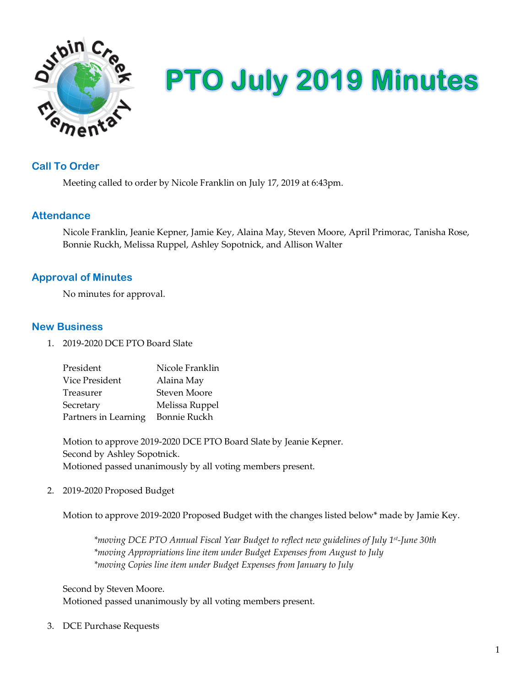

# **PTO July 2019 Minutes**

## **Call To Order**

Meeting called to order by Nicole Franklin on July 17, 2019 at 6:43pm.

## **Attendance**

Nicole Franklin, Jeanie Kepner, Jamie Key, Alaina May, Steven Moore, April Primorac, Tanisha Rose, Bonnie Ruckh, Melissa Ruppel, Ashley Sopotnick, and Allison Walter

## **Approval of Minutes**

No minutes for approval.

## **New Business**

1. 2019-2020 DCE PTO Board Slate

| President            | Nicole Franklin |
|----------------------|-----------------|
| Vice President       | Alaina May      |
| Treasurer            | Steven Moore    |
| Secretary            | Melissa Ruppel  |
| Partners in Learning | Bonnie Ruckh    |

Motion to approve 2019-2020 DCE PTO Board Slate by Jeanie Kepner. Second by Ashley Sopotnick. Motioned passed unanimously by all voting members present.

2. 2019-2020 Proposed Budget

Motion to approve 2019-2020 Proposed Budget with the changes listed below\* made by Jamie Key.

*\*moving DCE PTO Annual Fiscal Year Budget to reflect new guidelines of July 1st-June 30th \*moving Appropriations line item under Budget Expenses from August to July \*moving Copies line item under Budget Expenses from January to July*

Second by Steven Moore. Motioned passed unanimously by all voting members present.

3. DCE Purchase Requests